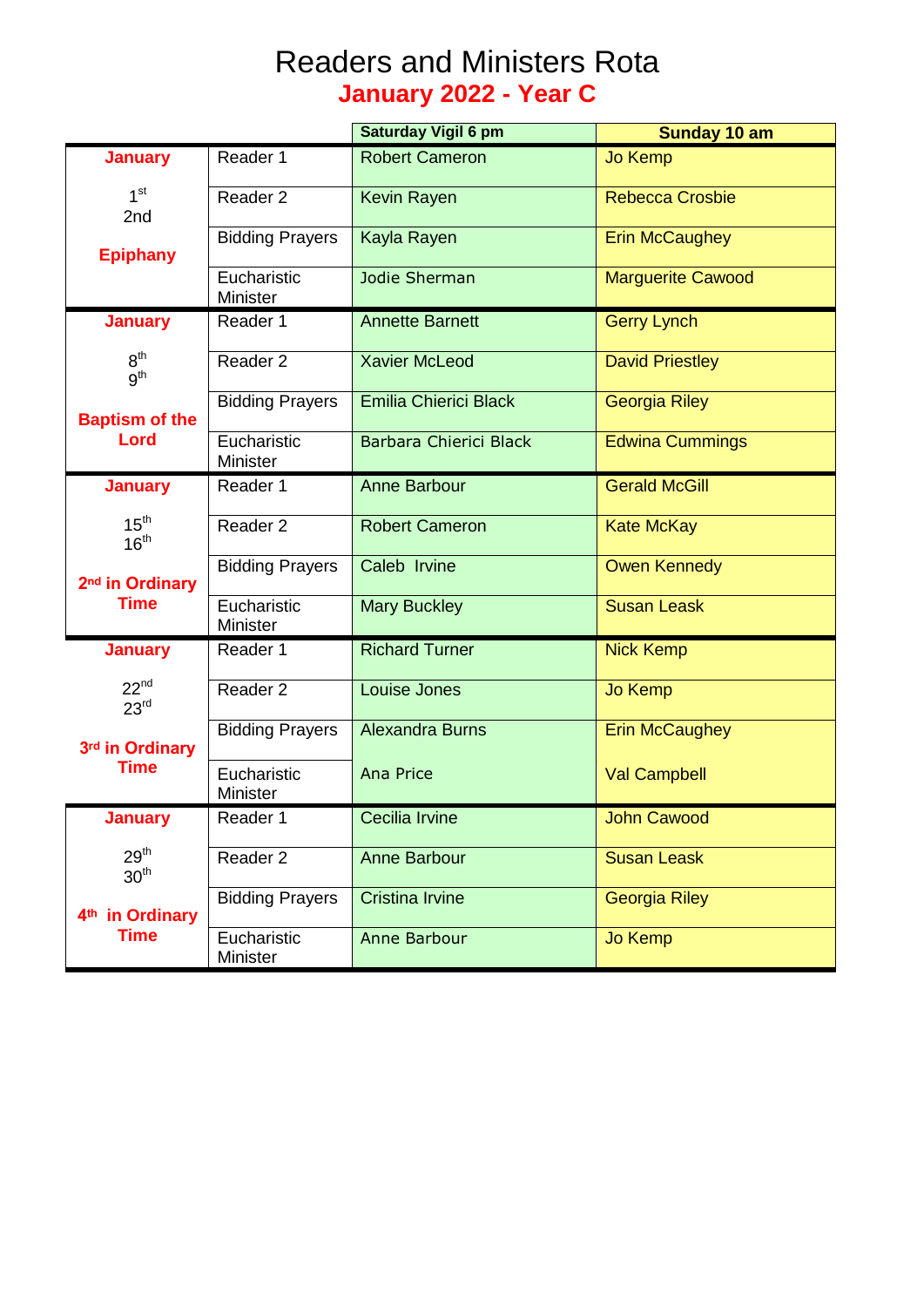## Readers and Ministers Rota **January 2022 - Year C**

|                                                                                                      |                                | Saturday Vigil 6 pm          | Sunday 10 am             |
|------------------------------------------------------------------------------------------------------|--------------------------------|------------------------------|--------------------------|
| <b>January</b>                                                                                       | Reader 1                       | <b>Robert Cameron</b>        | <b>Jo Kemp</b>           |
| 1 <sup>st</sup><br>2nd                                                                               | Reader 2                       | Kevin Rayen                  | <b>Rebecca Crosbie</b>   |
| <b>Epiphany</b>                                                                                      | <b>Bidding Prayers</b>         | Kayla Rayen                  | <b>Erin McCaughey</b>    |
|                                                                                                      | Eucharistic<br><b>Minister</b> | Jodie Sherman                | <b>Marguerite Cawood</b> |
| <b>January</b><br>8 <sup>th</sup><br>g <sup>th</sup>                                                 | Reader 1                       | <b>Annette Barnett</b>       | <b>Gerry Lynch</b>       |
|                                                                                                      | Reader <sub>2</sub>            | <b>Xavier McLeod</b>         | <b>David Priestley</b>   |
| <b>Baptism of the</b><br>Lord                                                                        | <b>Bidding Prayers</b>         | <b>Emilia Chierici Black</b> | <b>Georgia Riley</b>     |
|                                                                                                      | Eucharistic<br><b>Minister</b> | Barbara Chierici Black       | <b>Edwina Cummings</b>   |
| <b>January</b><br>15 <sup>th</sup><br>16 <sup>th</sup><br>2 <sup>nd</sup> in Ordinary<br><b>Time</b> | Reader 1                       | <b>Anne Barbour</b>          | <b>Gerald McGill</b>     |
|                                                                                                      | Reader 2                       | <b>Robert Cameron</b>        | <b>Kate McKay</b>        |
|                                                                                                      | <b>Bidding Prayers</b>         | Caleb Irvine                 | <b>Owen Kennedy</b>      |
|                                                                                                      | Eucharistic<br>Minister        | <b>Mary Buckley</b>          | <b>Susan Leask</b>       |
| <b>January</b><br>$22^{nd}$<br>23 <sup>rd</sup>                                                      | Reader 1                       | <b>Richard Turner</b>        | <b>Nick Kemp</b>         |
|                                                                                                      | Reader 2                       | Louise Jones                 | <b>Jo Kemp</b>           |
| 3rd in Ordinary<br><b>Time</b>                                                                       | <b>Bidding Prayers</b>         | <b>Alexandra Burns</b>       | <b>Erin McCaughey</b>    |
|                                                                                                      | Eucharistic<br><b>Minister</b> | <b>Ana Price</b>             | <b>Val Campbell</b>      |
| <b>January</b>                                                                                       | Reader 1                       | <b>Cecilia Irvine</b>        | John Cawood              |
| 29 <sup>th</sup><br>30 <sup>th</sup>                                                                 | Reader 2                       | <b>Anne Barbour</b>          | <b>Susan Leask</b>       |
| 4 <sup>th</sup> in Ordinary<br><b>Time</b>                                                           | <b>Bidding Prayers</b>         | <b>Cristina Irvine</b>       | <b>Georgia Riley</b>     |
|                                                                                                      | Eucharistic<br>Minister        | Anne Barbour                 | Jo Kemp                  |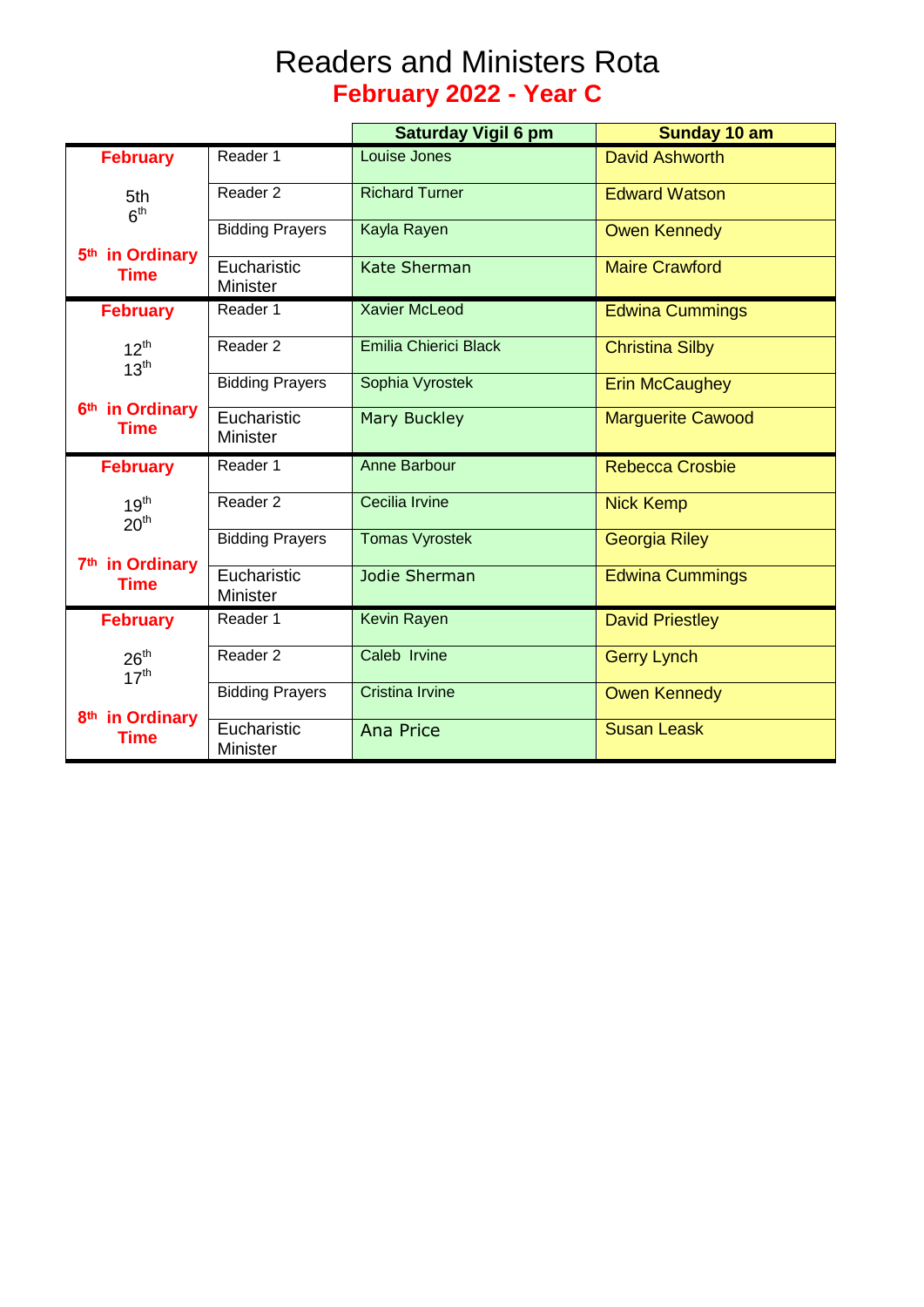## Readers and Ministers Rota **February 2022 - Year C**

|                                                                                    |                                | <b>Saturday Vigil 6 pm</b> | Sunday 10 am             |
|------------------------------------------------------------------------------------|--------------------------------|----------------------------|--------------------------|
| <b>February</b>                                                                    | Reader 1                       | Louise Jones               | <b>David Ashworth</b>    |
| 5th<br>6 <sup>th</sup><br>5 <sup>th</sup> in Ordinary<br><b>Time</b>               | Reader <sub>2</sub>            | <b>Richard Turner</b>      | <b>Edward Watson</b>     |
|                                                                                    | <b>Bidding Prayers</b>         | Kayla Rayen                | <b>Owen Kennedy</b>      |
|                                                                                    | Eucharistic<br><b>Minister</b> | <b>Kate Sherman</b>        | <b>Maire Crawford</b>    |
| <b>February</b>                                                                    | Reader 1                       | <b>Xavier McLeod</b>       | <b>Edwina Cummings</b>   |
| $12^{th}$<br>13 <sup>th</sup>                                                      | Reader 2                       | Emilia Chierici Black      | <b>Christina Silby</b>   |
|                                                                                    | <b>Bidding Prayers</b>         | Sophia Vyrostek            | <b>Erin McCaughey</b>    |
| 6 <sup>th</sup> in Ordinary<br>Time                                                | Eucharistic<br><b>Minister</b> | <b>Mary Buckley</b>        | <b>Marguerite Cawood</b> |
| <b>February</b>                                                                    | Reader 1                       | Anne Barbour               | <b>Rebecca Crosbie</b>   |
| 19 <sup>th</sup><br>20 <sup>th</sup><br>7 <sup>th</sup> in Ordinary<br><b>Time</b> | Reader 2                       | Cecilia Irvine             | <b>Nick Kemp</b>         |
|                                                                                    | <b>Bidding Prayers</b>         | <b>Tomas Vyrostek</b>      | <b>Georgia Riley</b>     |
|                                                                                    | Eucharistic<br><b>Minister</b> | Jodie Sherman              | <b>Edwina Cummings</b>   |
| <b>February</b>                                                                    | Reader 1                       | <b>Kevin Rayen</b>         | <b>David Priestley</b>   |
| 26 <sup>th</sup><br>17 <sup>th</sup>                                               | Reader 2                       | Caleb Irvine               | <b>Gerry Lynch</b>       |
|                                                                                    | <b>Bidding Prayers</b>         | <b>Cristina Irvine</b>     | <b>Owen Kennedy</b>      |
| 8 <sup>th</sup> in Ordinary<br>Time                                                | Eucharistic<br><b>Minister</b> | <b>Ana Price</b>           | <b>Susan Leask</b>       |